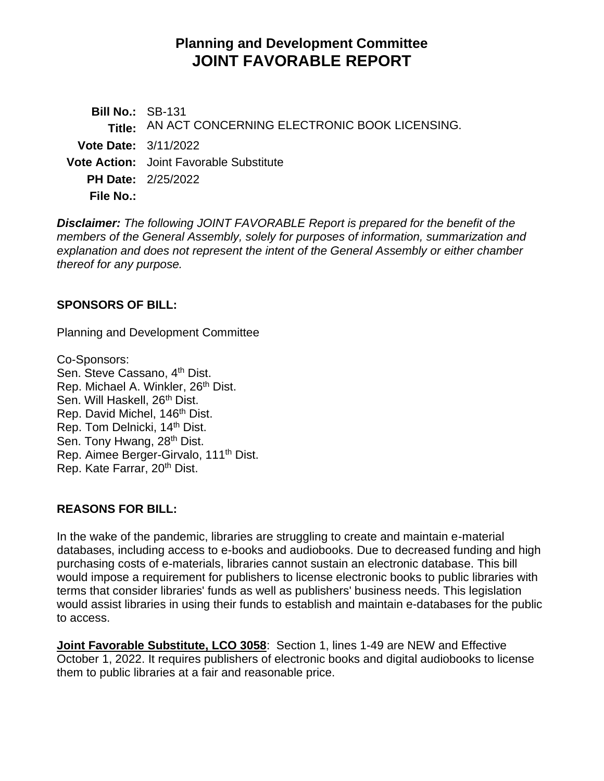# **Planning and Development Committee JOINT FAVORABLE REPORT**

**Bill No.:** SB-131 **Title:** AN ACT CONCERNING ELECTRONIC BOOK LICENSING. **Vote Date:** 3/11/2022 **Vote Action:** Joint Favorable Substitute **PH Date:** 2/25/2022 **File No.:**

*Disclaimer: The following JOINT FAVORABLE Report is prepared for the benefit of the members of the General Assembly, solely for purposes of information, summarization and explanation and does not represent the intent of the General Assembly or either chamber thereof for any purpose.*

## **SPONSORS OF BILL:**

Planning and Development Committee

Co-Sponsors: Sen. Steve Cassano, 4<sup>th</sup> Dist. Rep. Michael A. Winkler, 26<sup>th</sup> Dist. Sen. Will Haskell, 26<sup>th</sup> Dist. Rep. David Michel, 146<sup>th</sup> Dist. Rep. Tom Delnicki, 14<sup>th</sup> Dist. Sen. Tony Hwang, 28<sup>th</sup> Dist. Rep. Aimee Berger-Girvalo, 111th Dist. Rep. Kate Farrar, 20<sup>th</sup> Dist.

## **REASONS FOR BILL:**

In the wake of the pandemic, libraries are struggling to create and maintain e-material databases, including access to e-books and audiobooks. Due to decreased funding and high purchasing costs of e-materials, libraries cannot sustain an electronic database. This bill would impose a requirement for publishers to license electronic books to public libraries with terms that consider libraries' funds as well as publishers' business needs. This legislation would assist libraries in using their funds to establish and maintain e-databases for the public to access.

**Joint Favorable Substitute, LCO 3058**: Section 1, lines 1-49 are NEW and Effective October 1, 2022. It requires publishers of electronic books and digital audiobooks to license them to public libraries at a fair and reasonable price.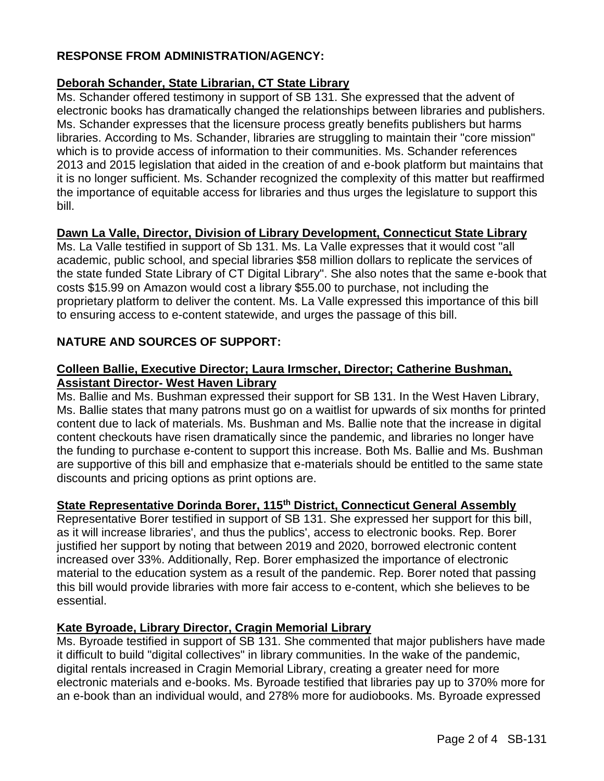## **RESPONSE FROM ADMINISTRATION/AGENCY:**

## **Deborah Schander, State Librarian, CT State Library**

Ms. Schander offered testimony in support of SB 131. She expressed that the advent of electronic books has dramatically changed the relationships between libraries and publishers. Ms. Schander expresses that the licensure process greatly benefits publishers but harms libraries. According to Ms. Schander, libraries are struggling to maintain their "core mission" which is to provide access of information to their communities. Ms. Schander references 2013 and 2015 legislation that aided in the creation of and e-book platform but maintains that it is no longer sufficient. Ms. Schander recognized the complexity of this matter but reaffirmed the importance of equitable access for libraries and thus urges the legislature to support this bill.

## **Dawn La Valle, Director, Division of Library Development, Connecticut State Library**

Ms. La Valle testified in support of Sb 131. Ms. La Valle expresses that it would cost "all academic, public school, and special libraries \$58 million dollars to replicate the services of the state funded State Library of CT Digital Library". She also notes that the same e-book that costs \$15.99 on Amazon would cost a library \$55.00 to purchase, not including the proprietary platform to deliver the content. Ms. La Valle expressed this importance of this bill to ensuring access to e-content statewide, and urges the passage of this bill.

## **NATURE AND SOURCES OF SUPPORT:**

## **Colleen Ballie, Executive Director; Laura Irmscher, Director; Catherine Bushman, Assistant Director- West Haven Library**

Ms. Ballie and Ms. Bushman expressed their support for SB 131. In the West Haven Library, Ms. Ballie states that many patrons must go on a waitlist for upwards of six months for printed content due to lack of materials. Ms. Bushman and Ms. Ballie note that the increase in digital content checkouts have risen dramatically since the pandemic, and libraries no longer have the funding to purchase e-content to support this increase. Both Ms. Ballie and Ms. Bushman are supportive of this bill and emphasize that e-materials should be entitled to the same state discounts and pricing options as print options are.

# **State Representative Dorinda Borer, 115th District, Connecticut General Assembly**

Representative Borer testified in support of SB 131. She expressed her support for this bill, as it will increase libraries', and thus the publics', access to electronic books. Rep. Borer justified her support by noting that between 2019 and 2020, borrowed electronic content increased over 33%. Additionally, Rep. Borer emphasized the importance of electronic material to the education system as a result of the pandemic. Rep. Borer noted that passing this bill would provide libraries with more fair access to e-content, which she believes to be essential.

## **Kate Byroade, Library Director, Cragin Memorial Library**

Ms. Byroade testified in support of SB 131. She commented that major publishers have made it difficult to build "digital collectives" in library communities. In the wake of the pandemic, digital rentals increased in Cragin Memorial Library, creating a greater need for more electronic materials and e-books. Ms. Byroade testified that libraries pay up to 370% more for an e-book than an individual would, and 278% more for audiobooks. Ms. Byroade expressed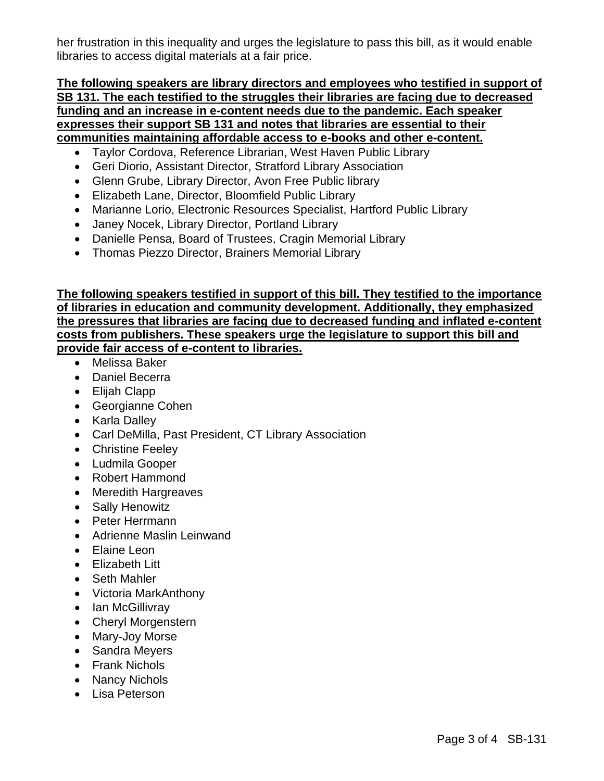her frustration in this inequality and urges the legislature to pass this bill, as it would enable libraries to access digital materials at a fair price.

#### **The following speakers are library directors and employees who testified in support of SB 131. The each testified to the struggles their libraries are facing due to decreased funding and an increase in e-content needs due to the pandemic. Each speaker expresses their support SB 131 and notes that libraries are essential to their communities maintaining affordable access to e-books and other e-content.**

- Taylor Cordova, Reference Librarian, West Haven Public Library
- Geri Diorio, Assistant Director, Stratford Library Association
- Glenn Grube, Library Director, Avon Free Public library
- Elizabeth Lane, Director, Bloomfield Public Library
- Marianne Lorio, Electronic Resources Specialist, Hartford Public Library
- Janey Nocek, Library Director, Portland Library
- Danielle Pensa, Board of Trustees, Cragin Memorial Library
- Thomas Piezzo Director, Brainers Memorial Library

**The following speakers testified in support of this bill. They testified to the importance of libraries in education and community development. Additionally, they emphasized the pressures that libraries are facing due to decreased funding and inflated e-content costs from publishers. These speakers urge the legislature to support this bill and provide fair access of e-content to libraries.** 

- Melissa Baker
- Daniel Becerra
- Elijah Clapp
- Georgianne Cohen
- Karla Dalley
- Carl DeMilla, Past President, CT Library Association
- Christine Feeley
- Ludmila Gooper
- Robert Hammond
- Meredith Hargreaves
- Sally Henowitz
- Peter Herrmann
- Adrienne Maslin Leinwand
- Elaine Leon
- Elizabeth Litt
- Seth Mahler
- Victoria MarkAnthony
- Ian McGillivray
- Cheryl Morgenstern
- Mary-Joy Morse
- Sandra Meyers
- Frank Nichols
- Nancy Nichols
- Lisa Peterson